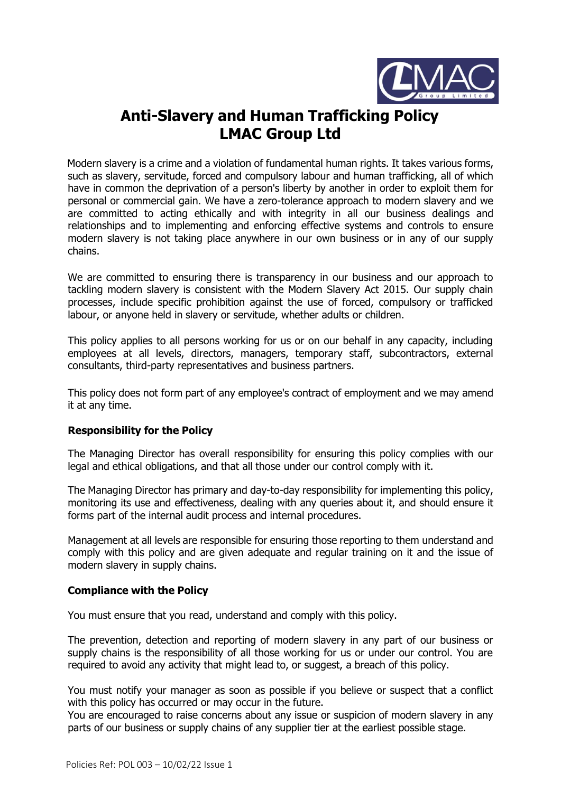

# **Anti-Slavery and Human Trafficking Policy LMAC Group Ltd**

Modern slavery is a crime and a violation of fundamental human rights. It takes various forms, such as slavery, servitude, forced and compulsory labour and human trafficking, all of which have in common the deprivation of a person's liberty by another in order to exploit them for personal or commercial gain. We have a zero-tolerance approach to modern slavery and we are committed to acting ethically and with integrity in all our business dealings and relationships and to implementing and enforcing effective systems and controls to ensure modern slavery is not taking place anywhere in our own business or in any of our supply chains.

We are committed to ensuring there is transparency in our business and our approach to tackling modern slavery is consistent with the Modern Slavery Act 2015. Our supply chain processes, include specific prohibition against the use of forced, compulsory or trafficked labour, or anyone held in slavery or servitude, whether adults or children.

This policy applies to all persons working for us or on our behalf in any capacity, including employees at all levels, directors, managers, temporary staff, subcontractors, external consultants, third-party representatives and business partners.

This policy does not form part of any employee's contract of employment and we may amend it at any time.

## **Responsibility for the Policy**

The Managing Director has overall responsibility for ensuring this policy complies with our legal and ethical obligations, and that all those under our control comply with it.

The Managing Director has primary and day-to-day responsibility for implementing this policy, monitoring its use and effectiveness, dealing with any queries about it, and should ensure it forms part of the internal audit process and internal procedures.

Management at all levels are responsible for ensuring those reporting to them understand and comply with this policy and are given adequate and regular training on it and the issue of modern slavery in supply chains.

### **Compliance with the Policy**

You must ensure that you read, understand and comply with this policy.

The prevention, detection and reporting of modern slavery in any part of our business or supply chains is the responsibility of all those working for us or under our control. You are required to avoid any activity that might lead to, or suggest, a breach of this policy.

You must notify your manager as soon as possible if you believe or suspect that a conflict with this policy has occurred or may occur in the future.

You are encouraged to raise concerns about any issue or suspicion of modern slavery in any parts of our business or supply chains of any supplier tier at the earliest possible stage.